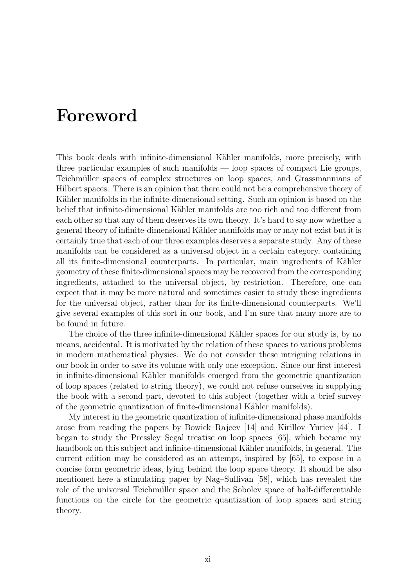## Foreword

This book deals with infinite-dimensional Kähler manifolds, more precisely, with three particular examples of such manifolds — loop spaces of compact Lie groups, Teichmüller spaces of complex structures on loop spaces, and Grassmannians of Hilbert spaces. There is an opinion that there could not be a comprehensive theory of Kähler manifolds in the infinite-dimensional setting. Such an opinion is based on the belief that infinite-dimensional Kähler manifolds are too rich and too different from each other so that any of them deserves its own theory. It's hard to say now whether a general theory of infinite-dimensional Kähler manifolds may or may not exist but it is certainly true that each of our three examples deserves a separate study. Any of these manifolds can be considered as a universal object in a certain category, containing all its finite-dimensional counterparts. In particular, main ingredients of Kähler geometry of these finite-dimensional spaces may be recovered from the corresponding ingredients, attached to the universal object, by restriction. Therefore, one can expect that it may be more natural and sometimes easier to study these ingredients for the universal object, rather than for its finite-dimensional counterparts. We'll give several examples of this sort in our book, and I'm sure that many more are to be found in future.

The choice of the three infinite-dimensional Kähler spaces for our study is, by no means, accidental. It is motivated by the relation of these spaces to various problems in modern mathematical physics. We do not consider these intriguing relations in our book in order to save its volume with only one exception. Since our first interest in infinite-dimensional Kähler manifolds emerged from the geometric quantization of loop spaces (related to string theory), we could not refuse ourselves in supplying the book with a second part, devoted to this subject (together with a brief survey of the geometric quantization of finite-dimensional Kähler manifolds).

My interest in the geometric quantization of infinite-dimensional phase manifolds arose from reading the papers by Bowick–Rajeev [14] and Kirillov–Yuriev [44]. I began to study the Pressley–Segal treatise on loop spaces [65], which became my handbook on this subject and infinite-dimensional Kähler manifolds, in general. The current edition may be considered as an attempt, inspired by [65], to expose in a concise form geometric ideas, lying behind the loop space theory. It should be also mentioned here a stimulating paper by Nag–Sullivan [58], which has revealed the role of the universal Teichmüller space and the Sobolev space of half-differentiable functions on the circle for the geometric quantization of loop spaces and string theory.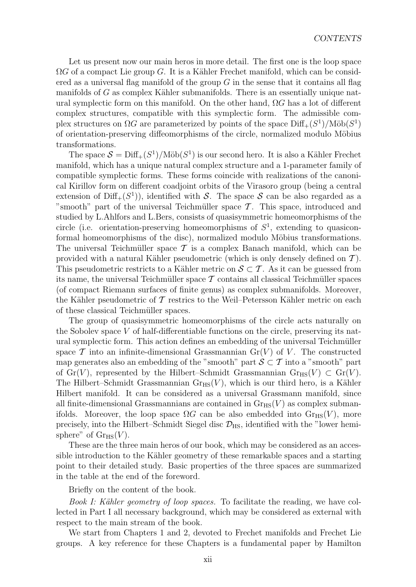Let us present now our main heros in more detail. The first one is the loop space  $\Omega G$  of a compact Lie group *G*. It is a Kähler Frechet manifold, which can be considered as a universal flag manifold of the group *G* in the sense that it contains all flag manifolds of  $G$  as complex Kähler submanifolds. There is an essentially unique natural symplectic form on this manifold. On the other hand, Ω*G* has a lot of different complex structures, compatible with this symplectic form. The admissible complex structures on  $\Omega G$  are parameterized by points of the space  $\text{Diff}_{+}(S^1)/\text{M\"ob}(S^1)$ of orientation-preserving diffeomorphisms of the circle, normalized modulo Möbius transformations.

The space  $S = \text{Diff}_+(S^1)/\text{M\"ob}(S^1)$  is our second hero. It is also a Kähler Frechet manifold, which has a unique natural complex structure and a 1-parameter family of compatible symplectic forms. These forms coincide with realizations of the canonical Kirillov form on different coadjoint orbits of the Virasoro group (being a central extension of  $\text{Diff}_+(S^1)$ , identified with *S*. The space *S* can be also regarded as a "smooth" part of the universal Teichmüller space  $\mathcal T$ . This space, introduced and studied by L.Ahlfors and L.Bers, consists of quasisymmetric homeomorphisms of the circle (i.e. orientation-preserving homeomorphisms of  $S<sup>1</sup>$ , extending to quasiconformal homeomorphisms of the disc), normalized modulo Möbius transformations. The universal Teichmüller space  $\mathcal T$  is a complex Banach manifold, which can be provided with a natural Kähler pseudometric (which is only densely defined on  $\mathcal{T}$ ). This pseudometric restricts to a Kähler metric on  $\mathcal{S} \subset \mathcal{T}$ . As it can be guessed from its name, the universal Teichmüller space  $\mathcal T$  contains all classical Teichmüller spaces (of compact Riemann surfaces of finite genus) as complex submanifolds. Moreover, the Kähler pseudometric of  $\mathcal T$  restrics to the Weil–Petersson Kähler metric on each of these classical Teichmüller spaces.

The group of quasisymmetric homeomorphisms of the circle acts naturally on the Sobolev space *V* of half-differentiable functions on the circle, preserving its natural symplectic form. This action defines an embedding of the universal Teichmüller space  $\mathcal T$  into an infinite-dimensional Grassmannian  $\text{Gr}(V)$  of  $V$ . The constructed map generates also an embedding of the "smooth" part  $\mathcal{S} \subset \mathcal{T}$  into a "smooth" part of Gr(*V*), represented by the Hilbert–Schmidt Grassmannian  $\text{Gr}_{\text{HS}}(V) \subset \text{Gr}(V)$ . The Hilbert–Schmidt Grassmannian  $\mathrm{Gr}_{\mathrm{HS}}(V)$ , which is our third hero, is a Kähler Hilbert manifold. It can be considered as a universal Grassmann manifold, since all finite-dimensional Grassmannians are contained in  $\text{Gr}_{HS}(V)$  as complex submanifolds. Moreover, the loop space  $\Omega G$  can be also embedded into  $\text{Gr}_{\text{HS}}(V)$ , more precisely, into the Hilbert–Schmidt Siegel disc  $\mathcal{D}_{\text{HS}}$ , identified with the "lower hemisphere" of  $\mathrm{Gr}_{\mathrm{HS}}(V)$ .

These are the three main heros of our book, which may be considered as an accessible introduction to the Kähler geometry of these remarkable spaces and a starting point to their detailed study. Basic properties of the three spaces are summarized in the table at the end of the foreword.

Briefly on the content of the book.

*Book I: Kähler geometry of loop spaces.* To facilitate the reading, we have collected in Part I all necessary background, which may be considered as external with respect to the main stream of the book.

We start from Chapters 1 and 2, devoted to Frechet manifolds and Frechet Lie groups. A key reference for these Chapters is a fundamental paper by Hamilton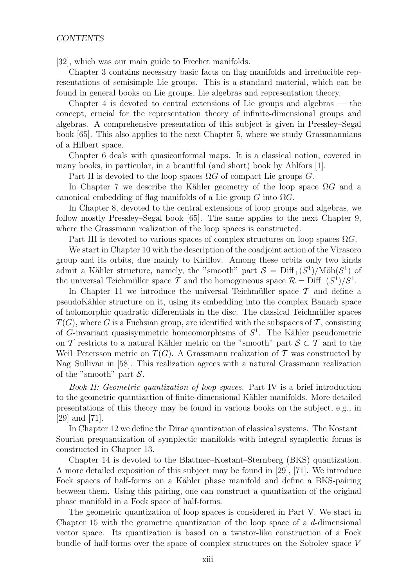[32], which was our main guide to Frechet manifolds.

Chapter 3 contains necessary basic facts on flag manifolds and irreducible representations of semisimple Lie groups. This is a standard material, which can be found in general books on Lie groups, Lie algebras and representation theory.

Chapter 4 is devoted to central extensions of Lie groups and algebras — the concept, crucial for the representation theory of infinite-dimensional groups and algebras. A comprehensive presentation of this subject is given in Pressley–Segal book [65]. This also applies to the next Chapter 5, where we study Grassmannians of a Hilbert space.

Chapter 6 deals with quasiconformal maps. It is a classical notion, covered in many books, in particular, in a beautiful (and short) book by Ahlfors [1].

Part II is devoted to the loop spaces  $\Omega G$  of compact Lie groups  $G$ .

In Chapter 7 we describe the Kähler geometry of the loop space  $\Omega G$  and a canonical embedding of flag manifolds of a Lie group *G* into Ω*G*.

In Chapter 8, devoted to the central extensions of loop groups and algebras, we follow mostly Pressley–Segal book [65]. The same applies to the next Chapter 9, where the Grassmann realization of the loop spaces is constructed.

Part III is devoted to various spaces of complex structures on loop spaces Ω*G*.

We start in Chapter 10 with the description of the coadjoint action of the Virasoro group and its orbits, due mainly to Kirillov. Among these orbits only two kinds admit a Kähler structure, namely, the "smooth" part  $S = \text{Diff}_{+}(S^1)/\text{M\"ob}(S^1)$  of the universal Teichmüller space  $\mathcal T$  and the homogeneous space  $\mathcal R = \text{Diff}_+(S^1)/S^1$ .

In Chapter 11 we introduce the universal Teichmüller space  $\mathcal T$  and define a pseudoK¨ahler structure on it, using its embedding into the complex Banach space of holomorphic quadratic differentials in the disc. The classical Teichm¨uller spaces  $T(G)$ , where *G* is a Fuchsian group, are identified with the subspaces of  $\mathcal{T}$ , consisting of  $G$ -invariant quasisymmetric homeomorphisms of  $S<sup>1</sup>$ . The Kähler pseudometric on *T* restricts to a natural Kähler metric on the "smooth" part  $S \subset T$  and to the Weil–Petersson metric on  $T(G)$ . A Grassmann realization of  $\mathcal T$  was constructed by Nag–Sullivan in [58]. This realization agrees with a natural Grassmann realization of the "smooth" part *S*.

*Book II: Geometric quantization of loop spaces.* Part IV is a brief introduction to the geometric quantization of finite-dimensional Kähler manifolds. More detailed presentations of this theory may be found in various books on the subject, e.g., in [29] and [71].

In Chapter 12 we define the Dirac quantization of classical systems. The Kostant– Souriau prequantization of symplectic manifolds with integral symplectic forms is constructed in Chapter 13.

Chapter 14 is devoted to the Blattner–Kostant–Sternberg (BKS) quantization. A more detailed exposition of this subject may be found in [29], [71]. We introduce Fock spaces of half-forms on a Kähler phase manifold and define a BKS-pairing between them. Using this pairing, one can construct a quantization of the original phase manifold in a Fock space of half-forms.

The geometric quantization of loop spaces is considered in Part V. We start in Chapter 15 with the geometric quantization of the loop space of a *d*-dimensional vector space. Its quantization is based on a twistor-like construction of a Fock bundle of half-forms over the space of complex structures on the Sobolev space *V*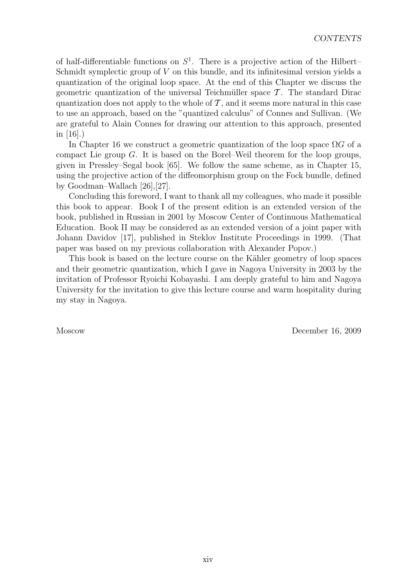of half-differentiable functions on  $S<sup>1</sup>$ . There is a projective action of the Hilbert– Schmidt symplectic group of *V* on this bundle, and its infinitesimal version yields a quantization of the original loop space. At the end of this Chapter we discuss the geometric quantization of the universal Teichmüller space  $\mathcal T$ . The standard Dirac quantization does not apply to the whole of  $\mathcal T$ , and it seems more natural in this case to use an approach, based on the "quantized calculus" of Connes and Sullivan. (We are grateful to Alain Connes for drawing our attention to this approach, presented in [16].)

In Chapter 16 we construct a geometric quantization of the loop space  $\Omega G$  of a compact Lie group *G*. It is based on the Borel–Weil theorem for the loop groups, given in Pressley–Segal book [65]. We follow the same scheme, as in Chapter 15, using the projective action of the diffeomorphism group on the Fock bundle, defined by Goodman–Wallach [26],[27].

Concluding this foreword, I want to thank all my colleagues, who made it possible this book to appear. Book I of the present edition is an extended version of the book, published in Russian in 2001 by Moscow Center of Continuous Mathematical Education. Book II may be considered as an extended version of a joint paper with Johann Davidov [17], published in Steklov Institute Proceedings in 1999. (That paper was based on my previous collaboration with Alexander Popov.)

This book is based on the lecture course on the Kähler geometry of loop spaces and their geometric quantization, which I gave in Nagoya University in 2003 by the invitation of Professor Ryoichi Kobayashi. I am deeply grateful to him and Nagoya University for the invitation to give this lecture course and warm hospitality during my stay in Nagoya.

Moscow December 16, 2009